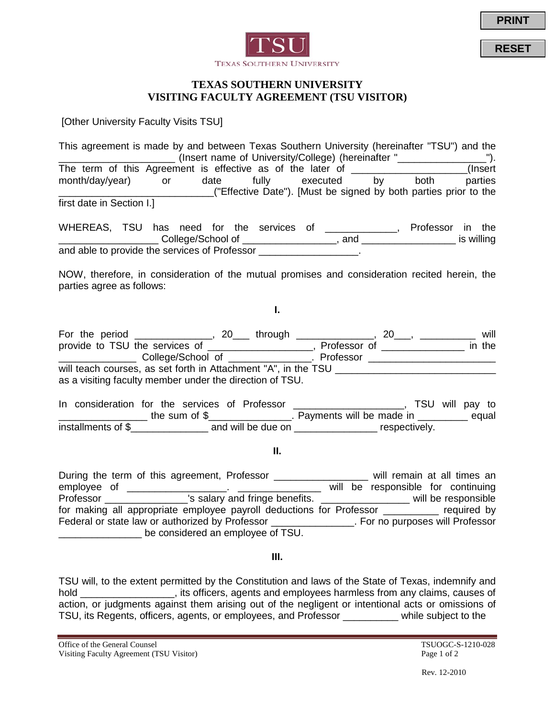

**RESET**



## **TEXAS SOUTHERN UNIVERSITY VISITING FACULTY AGREEMENT (TSU VISITOR)**

[Other University Faculty Visits TSU]

This agreement is made by and between Texas Southern University (hereinafter "TSU") and the \_\_\_\_\_\_\_\_\_\_\_\_\_\_\_\_\_\_\_\_\_ (Insert name of University/College) (hereinafter "\_\_\_\_\_\_\_\_\_\_\_\_\_\_\_\_"). The term of this Agreement is effective as of the later of \_\_\_\_\_\_\_\_\_\_\_\_\_\_\_\_\_\_\_\_(Insert month/day/year) or date fully executed by both parties \_\_\_\_\_\_\_\_\_\_\_\_\_\_\_\_\_\_\_\_\_\_\_\_\_\_\_\_("Effective Date"). [Must be signed by both parties prior to the first date in Section I.]

WHEREAS, TSU has need for the services of \_\_\_\_\_\_\_\_\_\_\_\_, Professor in the \_\_\_\_\_\_\_\_\_\_\_\_\_\_\_\_\_\_ College/School of \_\_\_\_\_\_\_\_\_\_\_\_\_\_\_\_\_, and \_\_\_\_\_\_\_\_\_\_\_\_\_\_\_\_\_ is willing and able to provide the services of Professor **Exercise 2** 

NOW, therefore, in consideration of the mutual promises and consideration recited herein, the parties agree as follows:

**I.**

For the period \_\_\_\_\_\_\_\_\_\_\_\_\_, 20\_\_\_ through \_\_\_\_\_\_\_\_\_\_\_\_\_, 20\_\_\_, \_\_\_\_\_\_\_\_\_\_\_ will provide to TSU the services of \_\_\_\_\_\_\_\_\_\_\_\_\_\_\_\_\_\_\_, Professor of \_\_\_\_\_\_\_\_\_\_\_\_\_\_\_\_ in the \_\_\_\_\_\_\_\_\_\_\_\_\_\_\_\_ College/School of \_\_\_\_\_\_\_\_\_\_\_\_\_\_\_\_. Professor \_\_\_\_\_\_\_\_\_\_\_\_\_\_\_\_\_\_ will teach courses, as set forth in Attachment "A", in the TSU \_\_\_\_\_\_\_\_\_\_\_\_\_\_\_\_\_\_ as a visiting faculty member under the direction of TSU.

In consideration for the services of Professor \_\_\_\_\_\_\_\_\_\_\_\_\_\_\_\_\_\_\_, TSU will pay to \_\_\_\_\_\_\_\_\_\_\_\_\_\_\_\_\_\_\_ the sum of \$\_\_\_\_\_\_\_\_\_\_\_\_\_\_\_\_\_. Payments will be made in \_\_\_\_\_\_\_\_\_\_ equal installments of \$\_\_\_\_\_\_\_\_\_\_\_\_\_\_\_\_\_\_\_\_ and will be due on \_\_\_\_\_\_\_\_\_\_\_\_\_\_\_\_\_\_\_\_\_ respectively.

**II.**

During the term of this agreement, Professor \_\_\_\_\_\_\_\_\_\_\_\_\_\_\_\_\_\_\_ will remain at all times an employee of \_\_\_\_\_\_\_\_\_\_\_\_\_\_\_\_\_\_. \_\_\_\_\_\_\_\_\_\_\_\_\_\_\_ will be responsible for continuing Professor \_\_\_\_\_\_\_\_\_\_\_\_\_\_\_\_\_'s salary and fringe benefits. \_\_\_\_\_\_\_\_\_\_\_\_\_\_\_\_\_\_\_\_ will be responsible for making all appropriate employee payroll deductions for Professor equired by Federal or state law or authorized by Professor \_\_\_\_\_\_\_\_\_\_\_\_\_\_\_. For no purposes will Professor be considered an employee of TSU.

**III.**

TSU will, to the extent permitted by the Constitution and laws of the State of Texas, indemnify and hold \_\_\_\_\_\_\_\_\_\_\_\_\_\_\_\_\_\_, its officers, agents and employees harmless from any claims, causes of action, or judgments against them arising out of the negligent or intentional acts or omissions of TSU, its Regents, officers, agents, or employees, and Professor \_\_\_\_\_\_\_\_\_\_ while subject to the

Office of the General Counsel Counsel TSUOGC-S-1210-028 Visiting Faculty Agreement (TSU Visitor) Page 1 of 2